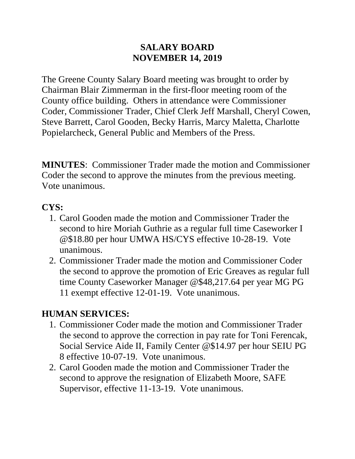#### **SALARY BOARD NOVEMBER 14, 2019**

The Greene County Salary Board meeting was brought to order by Chairman Blair Zimmerman in the first-floor meeting room of the County office building. Others in attendance were Commissioner Coder, Commissioner Trader, Chief Clerk Jeff Marshall, Cheryl Cowen, Steve Barrett, Carol Gooden, Becky Harris, Marcy Maletta, Charlotte Popielarcheck, General Public and Members of the Press.

**MINUTES**: Commissioner Trader made the motion and Commissioner Coder the second to approve the minutes from the previous meeting. Vote unanimous.

## **CYS:**

- 1. Carol Gooden made the motion and Commissioner Trader the second to hire Moriah Guthrie as a regular full time Caseworker I @\$18.80 per hour UMWA HS/CYS effective 10-28-19. Vote unanimous.
- 2. Commissioner Trader made the motion and Commissioner Coder the second to approve the promotion of Eric Greaves as regular full time County Caseworker Manager @\$48,217.64 per year MG PG 11 exempt effective 12-01-19. Vote unanimous.

### **HUMAN SERVICES:**

- 1. Commissioner Coder made the motion and Commissioner Trader the second to approve the correction in pay rate for Toni Ferencak, Social Service Aide II, Family Center @\$14.97 per hour SEIU PG 8 effective 10-07-19. Vote unanimous.
- 2. Carol Gooden made the motion and Commissioner Trader the second to approve the resignation of Elizabeth Moore, SAFE Supervisor, effective 11-13-19. Vote unanimous.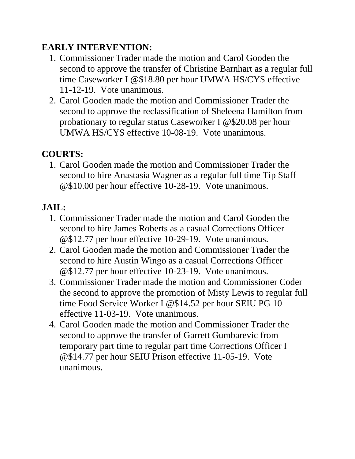### **EARLY INTERVENTION:**

- 1. Commissioner Trader made the motion and Carol Gooden the second to approve the transfer of Christine Barnhart as a regular full time Caseworker I @\$18.80 per hour UMWA HS/CYS effective 11-12-19. Vote unanimous.
- 2. Carol Gooden made the motion and Commissioner Trader the second to approve the reclassification of Sheleena Hamilton from probationary to regular status Caseworker I @\$20.08 per hour UMWA HS/CYS effective 10-08-19. Vote unanimous.

## **COURTS:**

1. Carol Gooden made the motion and Commissioner Trader the second to hire Anastasia Wagner as a regular full time Tip Staff @\$10.00 per hour effective 10-28-19. Vote unanimous.

# **JAIL:**

- 1. Commissioner Trader made the motion and Carol Gooden the second to hire James Roberts as a casual Corrections Officer @\$12.77 per hour effective 10-29-19. Vote unanimous.
- 2. Carol Gooden made the motion and Commissioner Trader the second to hire Austin Wingo as a casual Corrections Officer @\$12.77 per hour effective 10-23-19. Vote unanimous.
- 3. Commissioner Trader made the motion and Commissioner Coder the second to approve the promotion of Misty Lewis to regular full time Food Service Worker I @\$14.52 per hour SEIU PG 10 effective 11-03-19. Vote unanimous.
- 4. Carol Gooden made the motion and Commissioner Trader the second to approve the transfer of Garrett Gumbarevic from temporary part time to regular part time Corrections Officer I @\$14.77 per hour SEIU Prison effective 11-05-19. Vote unanimous.